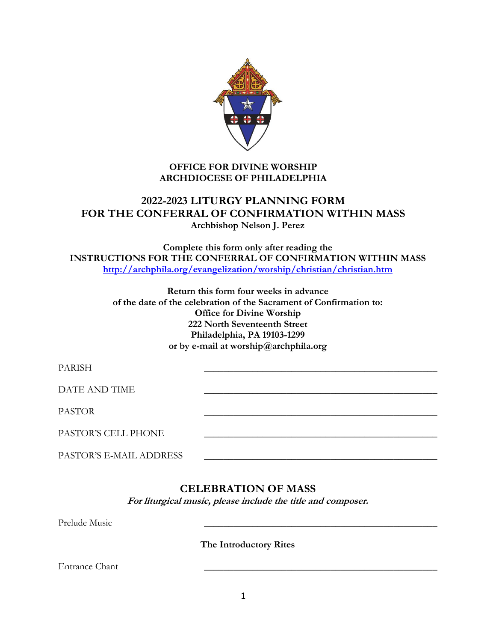

### **OFFICE FOR DIVINE WORSHIP ARCHDIOCESE OF PHILADELPHIA**

# **2022-2023 LITURGY PLANNING FORM FOR THE CONFERRAL OF CONFIRMATION WITHIN MASS Archbishop Nelson J. Perez**

**Complete this form only after reading the INSTRUCTIONS FOR THE CONFERRAL OF CONFIRMATION WITHIN MASS <http://archphila.org/evangelization/worship/christian/christian.htm>**

> **Return this form four weeks in advance of the date of the celebration of the Sacrament of Confirmation to: Office for Divine Worship 222 North Seventeenth Street Philadelphia, PA 19103-1299 or by e-mail at worship@archphila.org**

| <b>PARISH</b>           |  |
|-------------------------|--|
| DATE AND TIME           |  |
| <b>PASTOR</b>           |  |
| PASTOR'S CELL PHONE     |  |
| PASTOR'S E-MAIL ADDRESS |  |

## **CELEBRATION OF MASS**

**For liturgical music, please include the title and composer.**

Prelude Music

**The Introductory Rites**

Entrance Chant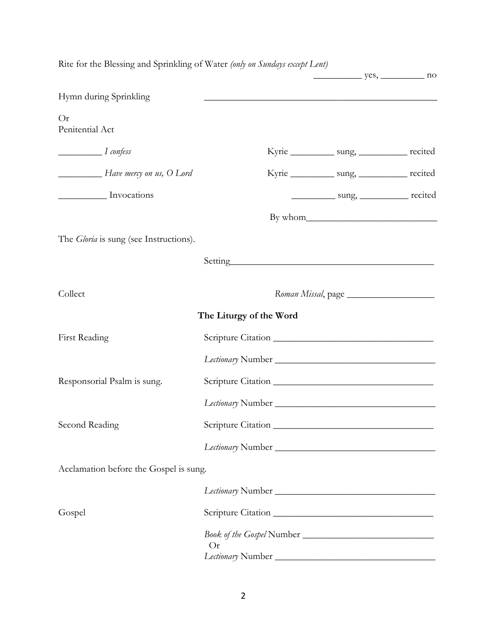| Rite for the Blessing and Sprinkling of Water (only on Sundays except Lent) |                                                                                                                                                                                                                                | $yes$ , no                                  |  |
|-----------------------------------------------------------------------------|--------------------------------------------------------------------------------------------------------------------------------------------------------------------------------------------------------------------------------|---------------------------------------------|--|
| Hymn during Sprinkling                                                      | <u> 1989 - Johann Stoff, amerikansk politiker (d. 1989)</u>                                                                                                                                                                    |                                             |  |
| Or<br>Penitential Act                                                       |                                                                                                                                                                                                                                |                                             |  |
| $\frac{1}{1}$ confess                                                       |                                                                                                                                                                                                                                | Kyrie ___________ sung, ___________ recited |  |
| Have mercy on us, O Lord                                                    |                                                                                                                                                                                                                                | Kyrie ___________ sung, ___________ recited |  |
| Invocations                                                                 |                                                                                                                                                                                                                                | sung, recited                               |  |
|                                                                             |                                                                                                                                                                                                                                |                                             |  |
| The <i>Gloria</i> is sung (see Instructions).                               |                                                                                                                                                                                                                                |                                             |  |
|                                                                             | Setting entry and the setting of the setting of the setting of the setting of the setting of the setting of the setting of the setting of the setting of the setting of the setting of the setting of the setting of the setti |                                             |  |
| Collect                                                                     |                                                                                                                                                                                                                                | Roman Missal, page                          |  |
|                                                                             | The Liturgy of the Word                                                                                                                                                                                                        |                                             |  |
| First Reading                                                               |                                                                                                                                                                                                                                |                                             |  |
|                                                                             |                                                                                                                                                                                                                                |                                             |  |
| Responsorial Psalm is sung.                                                 |                                                                                                                                                                                                                                |                                             |  |
|                                                                             |                                                                                                                                                                                                                                |                                             |  |
| Second Reading                                                              |                                                                                                                                                                                                                                |                                             |  |
|                                                                             |                                                                                                                                                                                                                                |                                             |  |
| Acclamation before the Gospel is sung.                                      |                                                                                                                                                                                                                                |                                             |  |
|                                                                             |                                                                                                                                                                                                                                |                                             |  |
| Gospel                                                                      |                                                                                                                                                                                                                                |                                             |  |
|                                                                             | Or                                                                                                                                                                                                                             |                                             |  |
|                                                                             |                                                                                                                                                                                                                                |                                             |  |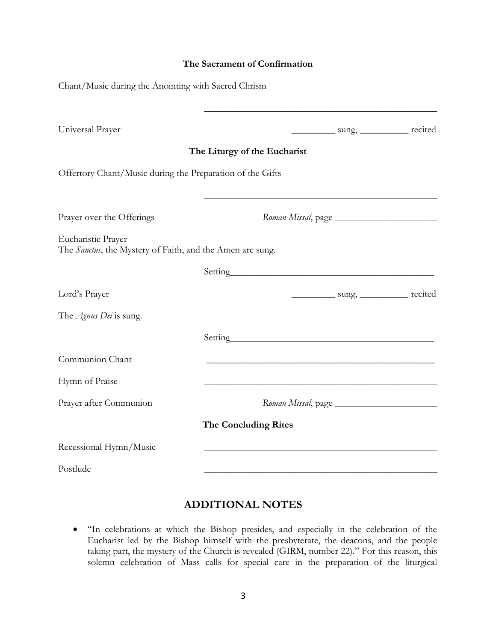#### **The Sacrament of Confirmation**

| Chant/Music during the Anointing with Sacred Chrism                             |                              |                                                                                                                                                                                                                               |                                          |  |
|---------------------------------------------------------------------------------|------------------------------|-------------------------------------------------------------------------------------------------------------------------------------------------------------------------------------------------------------------------------|------------------------------------------|--|
| Universal Prayer                                                                |                              | <u> 1989 - Johann Barbara, martxa alemaniar amerikan basar da</u>                                                                                                                                                             | _____________ sung, ____________ recited |  |
|                                                                                 | The Liturgy of the Eucharist |                                                                                                                                                                                                                               |                                          |  |
| Offertory Chant/Music during the Preparation of the Gifts                       |                              |                                                                                                                                                                                                                               |                                          |  |
| Prayer over the Offerings                                                       |                              |                                                                                                                                                                                                                               |                                          |  |
| Eucharistic Prayer<br>The Sanctus, the Mystery of Faith, and the Amen are sung. |                              |                                                                                                                                                                                                                               |                                          |  |
|                                                                                 |                              |                                                                                                                                                                                                                               |                                          |  |
| Lord's Prayer                                                                   |                              |                                                                                                                                                                                                                               | sung, recited                            |  |
| The <i>Agnus Dei</i> is sung.                                                   |                              |                                                                                                                                                                                                                               |                                          |  |
|                                                                                 |                              | Setting experience and the setting of the setting of the setting of the setting of the setting of the setting of the setting of the setting of the setting of the setting of the setting of the setting of the setting of the |                                          |  |
| Communion Chant                                                                 |                              |                                                                                                                                                                                                                               |                                          |  |
| Hymn of Praise                                                                  |                              |                                                                                                                                                                                                                               |                                          |  |
| Prayer after Communion                                                          |                              | Roman Missal, page                                                                                                                                                                                                            |                                          |  |
|                                                                                 | <b>The Concluding Rites</b>  |                                                                                                                                                                                                                               |                                          |  |
| Recessional Hymn/Music                                                          |                              |                                                                                                                                                                                                                               |                                          |  |
| Postlude                                                                        |                              |                                                                                                                                                                                                                               |                                          |  |

### **ADDITIONAL NOTES**

 "In celebrations at which the Bishop presides, and especially in the celebration of the Eucharist led by the Bishop himself with the presbyterate, the deacons, and the people taking part, the mystery of the Church is revealed (GIRM, number 22)." For this reason, this solemn celebration of Mass calls for special care in the preparation of the liturgical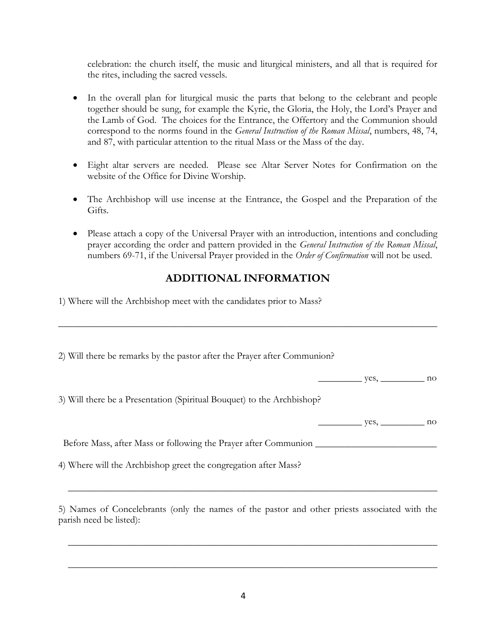celebration: the church itself, the music and liturgical ministers, and all that is required for the rites, including the sacred vessels.

- In the overall plan for liturgical music the parts that belong to the celebrant and people together should be sung, for example the Kyrie, the Gloria, the Holy, the Lord's Prayer and the Lamb of God. The choices for the Entrance, the Offertory and the Communion should correspond to the norms found in the *General Instruction of the Roman Missal*, numbers, 48, 74, and 87, with particular attention to the ritual Mass or the Mass of the day.
- Eight altar servers are needed. Please see Altar Server Notes for Confirmation on the website of the Office for Divine Worship.
- The Archbishop will use incense at the Entrance, the Gospel and the Preparation of the Gifts.
- Please attach a copy of the Universal Prayer with an introduction, intentions and concluding prayer according the order and pattern provided in the *General Instruction of the Roman Missal*, numbers 69-71, if the Universal Prayer provided in the *Order of Confirmation* will not be used.

# **ADDITIONAL INFORMATION**

\_\_\_\_\_\_\_\_\_\_\_\_\_\_\_\_\_\_\_\_\_\_\_\_\_\_\_\_\_\_\_\_\_\_\_\_\_\_\_\_\_\_\_\_\_\_\_\_\_\_\_\_\_\_\_\_\_\_\_\_\_\_\_\_\_\_\_\_\_\_\_\_\_\_\_\_\_\_

1) Where will the Archbishop meet with the candidates prior to Mass?

2) Will there be remarks by the pastor after the Prayer after Communion?

 $yes,$  no

3) Will there be a Presentation (Spiritual Bouquet) to the Archbishop?

 **\_\_\_\_\_\_\_\_\_** yes, \_\_\_\_\_\_\_\_\_ no

Before Mass, after Mass or following the Prayer after Communion \_\_\_\_\_\_\_\_\_\_\_\_\_\_\_\_\_

4) Where will the Archbishop greet the congregation after Mass?

5) Names of Concelebrants (only the names of the pastor and other priests associated with the parish need be listed):

 **\_\_\_\_\_\_\_\_\_\_\_\_\_\_\_\_\_\_\_\_\_\_\_\_\_\_\_\_\_\_\_\_\_\_\_\_\_\_\_\_\_\_\_\_\_\_\_\_\_\_\_\_\_\_\_\_\_\_\_\_\_\_\_\_\_\_\_\_\_\_\_\_\_\_\_\_**

 **\_\_\_\_\_\_\_\_\_\_\_\_\_\_\_\_\_\_\_\_\_\_\_\_\_\_\_\_\_\_\_\_\_\_\_\_\_\_\_\_\_\_\_\_\_\_\_\_\_\_\_\_\_\_\_\_\_\_\_\_\_\_\_\_\_\_\_\_\_\_\_\_\_\_\_\_**

 **\_\_\_\_\_\_\_\_\_\_\_\_\_\_\_\_\_\_\_\_\_\_\_\_\_\_\_\_\_\_\_\_\_\_\_\_\_\_\_\_\_\_\_\_\_\_\_\_\_\_\_\_\_\_\_\_\_\_\_\_\_\_\_\_\_\_\_\_\_\_\_\_\_\_\_\_**